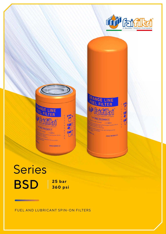



# Series **BSD**  $\frac{25 \text{ bar}}{360 \text{ ps}}$ **360 psi**

<u> Tanzania (h. 1878).</u>

FUEL AND LUBRICANT SPIN-ON FILTERS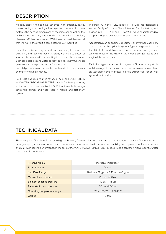# **DESCRIPTION**

Modern diesel engines have achieved high efficiency levels, thanks to high technology fuel injection systems. In these systems the nozzles dimensions of the injectors, as well as the high working pressure, play a fundamental role for a complete, clean and efficient combustion. With these devices it is essential that the fuel in the circuit is completely free of impurities.

Diesel fuel makes a long journey from the refinery to the vehicle bulk tank, and receives many transfers, with various potential sources of contamination, consisting in solid particles and water. Both solid particles and water content can have harmful effects on the engine equipment and its functionality.

For total protections of the injection systems both contaminants and water must be removed.

FAI FILTRI has designed the ranges of spin-on FUEL FILTERS and WATER ABSORBING FILTERS suitable for these purposes, addressed to applications like IN-OUT filtration at bulk storage tanks, fuel pumps and hose reels, in mobile and stationary systems.

In parallel with the FUEL range, FAI FILTRI has designed a second family of spin-on filters, intended for oil filtration, and divided into LIGHT OIL and HEAVY OIL types, characterized by a superior degree of efficiency for solid contaminants.

Applications can be engines, generators or any other machinery or equipment with a hydraulic system. Typical usage destinations for LIGHT OIL models are transmission systems, and hydraulic systems; those of the HEAVY OIL models are gearboxes and engine lubrication systems.

Each filter type has a specific degree of filtration, compatible with the range of viscosity of the oil used: on a wide range of flow, an acceptable level of pressure loss is guaranteed, for optimal system functionality.

## TECHNICAL DATA

These ranges of filters benefit of some high technology features: electrostatic charges neutralization, to prevent filter media micro damages, epoxy coating of some metal components, for increased fluid chemical compatibility, Viton gaskets, for lifetime service and maximum sealing performance. In the case of the WATER ABSORBING FILTER a special media can retain high amount of water that contaminates the fuel.

| <b>Filtering Media</b>      | Inorganic Microfibers               |  |  |  |
|-----------------------------|-------------------------------------|--|--|--|
| Flow direction              | $Out - In$                          |  |  |  |
| Max Flow Range              | 120 lpm - 32 gpm ~ 245 lmp - 65 gpm |  |  |  |
| Max working pressure        | 25 bar - 360 psi                    |  |  |  |
| Element collapse pressure   | 10 bar - 145 psi                    |  |  |  |
| Rated static burst pressure | 55 bar - 800 psi                    |  |  |  |
| Operating temperature range | $-20/1120 °C - 4/248 °F$            |  |  |  |
| Gasket                      | Viton                               |  |  |  |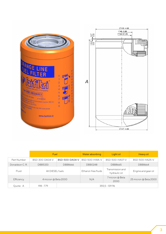



|                | Fuel                 |                  | Water absorbing     | Light oil                         | Heavy oil             |
|----------------|----------------------|------------------|---------------------|-----------------------------------|-----------------------|
| Part Number    | BSD-300-DA04-V       | BSD-500-DA04-V   | BSD-500-HWA-V       | BSD-500-HA07-V                    | BSD-500-HA25-V        |
| Donaldson C.R. | DBB5333              | DBB8666          | DBB0248             | DBB8665                           | DBB8664               |
| Fluid          | All DIESEL fuels     |                  | Ethanol-free fluids | Transmission and<br>hydraulic oil | Engine and gear oil   |
| Efficiency     | 4 micron @ Beta 2000 |                  | N/A                 | 7 micron @ Beta<br>2000           | 25 micron @ Beta 2000 |
| Quote: A       | $198 - 7.79$         | $355.5 - 139.96$ |                     |                                   |                       |